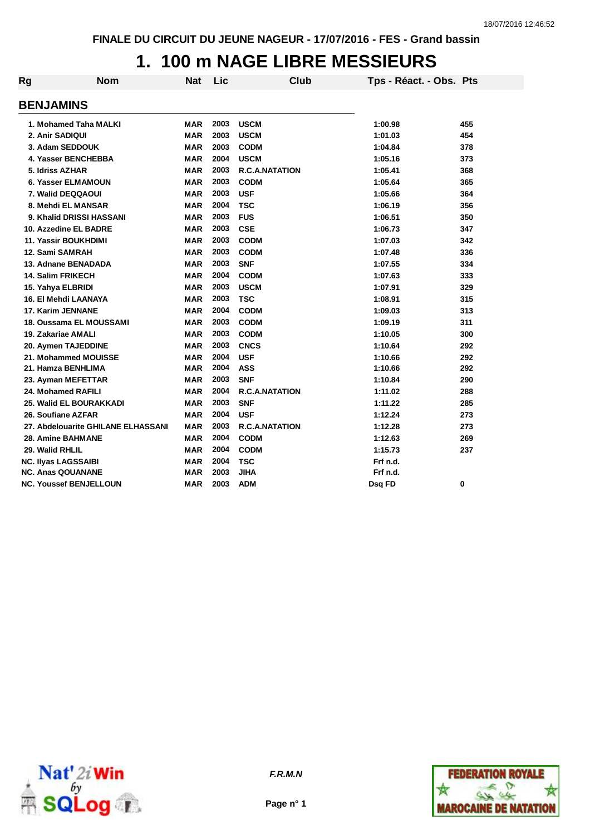### **1. 100 m NAGE LIBRE MESSIEURS**

| Rg | <b>Nom</b>                         | <b>Nat</b> | Lic  | Club                  | Tps - Réact. - Obs. Pts |     |
|----|------------------------------------|------------|------|-----------------------|-------------------------|-----|
|    | <b>BENJAMINS</b>                   |            |      |                       |                         |     |
|    | 1. Mohamed Taha MALKI              | <b>MAR</b> | 2003 | <b>USCM</b>           | 1:00.98                 | 455 |
|    | 2. Anir SADIQUI                    | <b>MAR</b> | 2003 | <b>USCM</b>           | 1:01.03                 | 454 |
|    | 3. Adam SEDDOUK                    | <b>MAR</b> | 2003 | <b>CODM</b>           | 1:04.84                 | 378 |
|    | 4. Yasser BENCHEBBA                | <b>MAR</b> | 2004 | <b>USCM</b>           | 1:05.16                 | 373 |
|    | 5. Idriss AZHAR                    | <b>MAR</b> | 2003 | <b>R.C.A.NATATION</b> | 1:05.41                 | 368 |
|    | 6. Yasser ELMAMOUN                 | <b>MAR</b> | 2003 | <b>CODM</b>           | 1:05.64                 | 365 |
|    | 7. Walid DEQQAOUI                  | <b>MAR</b> | 2003 | <b>USF</b>            | 1:05.66                 | 364 |
|    | 8. Mehdi EL MANSAR                 | <b>MAR</b> | 2004 | <b>TSC</b>            | 1:06.19                 | 356 |
|    | 9. Khalid DRISSI HASSANI           | <b>MAR</b> | 2003 | <b>FUS</b>            | 1:06.51                 | 350 |
|    | 10. Azzedine EL BADRE              | <b>MAR</b> | 2003 | <b>CSE</b>            | 1:06.73                 | 347 |
|    | <b>11. Yassir BOUKHDIMI</b>        | <b>MAR</b> | 2003 | <b>CODM</b>           | 1:07.03                 | 342 |
|    | 12. Sami SAMRAH                    | <b>MAR</b> | 2003 | <b>CODM</b>           | 1:07.48                 | 336 |
|    | 13. Adnane BENADADA                | <b>MAR</b> | 2003 | <b>SNF</b>            | 1:07.55                 | 334 |
|    | 14. Salim FRIKECH                  | <b>MAR</b> | 2004 | <b>CODM</b>           | 1:07.63                 | 333 |
|    | 15. Yahya ELBRIDI                  | <b>MAR</b> | 2003 | <b>USCM</b>           | 1:07.91                 | 329 |
|    | 16. El Mehdi LAANAYA               | <b>MAR</b> | 2003 | <b>TSC</b>            | 1:08.91                 | 315 |
|    | 17. Karim JENNANE                  | <b>MAR</b> | 2004 | <b>CODM</b>           | 1:09.03                 | 313 |
|    | 18. Oussama EL MOUSSAMI            | <b>MAR</b> | 2003 | <b>CODM</b>           | 1:09.19                 | 311 |
|    | 19. Zakariae AMALI                 | <b>MAR</b> | 2003 | <b>CODM</b>           | 1:10.05                 | 300 |
|    | 20. Aymen TAJEDDINE                | <b>MAR</b> | 2003 | <b>CNCS</b>           | 1:10.64                 | 292 |
|    | 21. Mohammed MOUISSE               | <b>MAR</b> | 2004 | <b>USF</b>            | 1:10.66                 | 292 |
|    | 21. Hamza BENHLIMA                 | <b>MAR</b> | 2004 | <b>ASS</b>            | 1:10.66                 | 292 |
|    | 23. Ayman MEFETTAR                 | <b>MAR</b> | 2003 | <b>SNF</b>            | 1:10.84                 | 290 |
|    | 24. Mohamed RAFILI                 | <b>MAR</b> | 2004 | <b>R.C.A.NATATION</b> | 1:11.02                 | 288 |
|    | 25. Walid EL BOURAKKADI            | <b>MAR</b> | 2003 | <b>SNF</b>            | 1:11.22                 | 285 |
|    | 26. Soufiane AZFAR                 | <b>MAR</b> | 2004 | <b>USF</b>            | 1:12.24                 | 273 |
|    | 27. Abdelouarite GHILANE ELHASSANI | <b>MAR</b> | 2003 | <b>R.C.A.NATATION</b> | 1:12.28                 | 273 |
|    | <b>28. Amine BAHMANE</b>           | <b>MAR</b> | 2004 | <b>CODM</b>           | 1:12.63                 | 269 |
|    | 29. Walid RHLIL                    | <b>MAR</b> | 2004 | <b>CODM</b>           | 1:15.73                 | 237 |
|    | <b>NC. Ilyas LAGSSAIBI</b>         | <b>MAR</b> | 2004 | <b>TSC</b>            | Frf n.d.                |     |
|    | <b>NC. Anas QOUANANE</b>           | <b>MAR</b> | 2003 | <b>JIHA</b>           | Frf n.d.                |     |
|    | <b>NC. Youssef BENJELLOUN</b>      | <b>MAR</b> | 2003 | <b>ADM</b>            | Dsq FD                  | 0   |



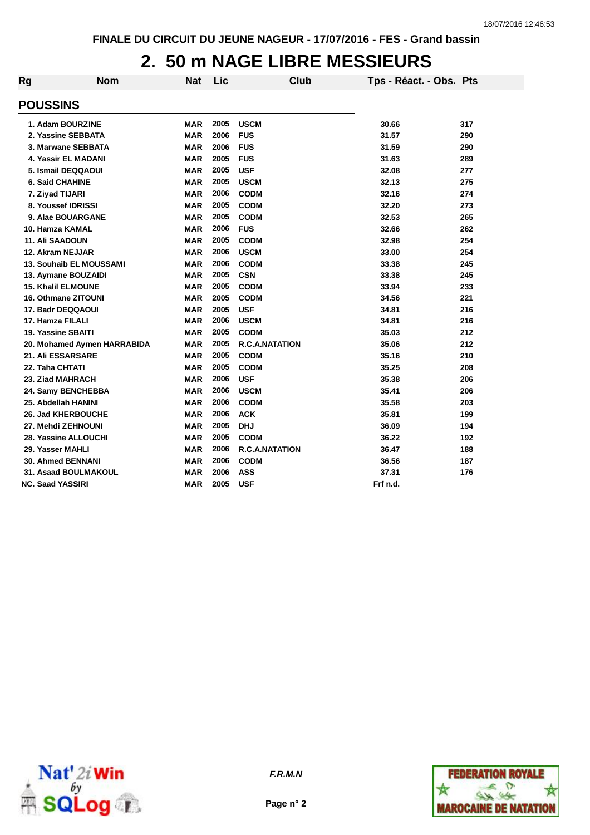#### **2. 50 m NAGE LIBRE MESSIEURS**

| Rg              | <b>Nom</b>                  | Nat        | Lic  | Club                  | Tps - Réact. - Obs. Pts |     |
|-----------------|-----------------------------|------------|------|-----------------------|-------------------------|-----|
| <b>POUSSINS</b> |                             |            |      |                       |                         |     |
|                 | 1. Adam BOURZINE            | <b>MAR</b> | 2005 | <b>USCM</b>           | 30.66                   | 317 |
|                 | 2. Yassine SEBBATA          | <b>MAR</b> | 2006 | <b>FUS</b>            | 31.57                   | 290 |
|                 | 3. Marwane SEBBATA          | <b>MAR</b> | 2006 | <b>FUS</b>            | 31.59                   | 290 |
|                 | 4. Yassir EL MADANI         | <b>MAR</b> | 2005 | <b>FUS</b>            | 31.63                   | 289 |
|                 | 5. Ismail DEQQAOUI          | <b>MAR</b> | 2005 | <b>USF</b>            | 32.08                   | 277 |
|                 | <b>6. Said CHAHINE</b>      | <b>MAR</b> | 2005 | <b>USCM</b>           | 32.13                   | 275 |
|                 | 7. Ziyad TIJARI             | <b>MAR</b> | 2006 | <b>CODM</b>           | 32.16                   | 274 |
|                 | 8. Youssef IDRISSI          | <b>MAR</b> | 2005 | <b>CODM</b>           | 32.20                   | 273 |
|                 | 9. Alae BOUARGANE           | MAR        | 2005 | <b>CODM</b>           | 32.53                   | 265 |
|                 | 10. Hamza KAMAL             | <b>MAR</b> | 2006 | <b>FUS</b>            | 32.66                   | 262 |
|                 | <b>11. Ali SAADOUN</b>      | <b>MAR</b> | 2005 | <b>CODM</b>           | 32.98                   | 254 |
|                 | 12. Akram NEJJAR            | <b>MAR</b> | 2006 | <b>USCM</b>           | 33.00                   | 254 |
|                 | 13. Souhaib EL MOUSSAMI     | <b>MAR</b> | 2006 | <b>CODM</b>           | 33.38                   | 245 |
|                 | 13. Aymane BOUZAIDI         | <b>MAR</b> | 2005 | <b>CSN</b>            | 33.38                   | 245 |
|                 | <b>15. Khalil ELMOUNE</b>   | <b>MAR</b> | 2005 | <b>CODM</b>           | 33.94                   | 233 |
|                 | <b>16. Othmane ZITOUNI</b>  | <b>MAR</b> | 2005 | <b>CODM</b>           | 34.56                   | 221 |
|                 | 17. Badr DEQQAOUI           | <b>MAR</b> | 2005 | <b>USF</b>            | 34.81                   | 216 |
|                 | 17. Hamza FILALI            | <b>MAR</b> | 2006 | <b>USCM</b>           | 34.81                   | 216 |
|                 | 19. Yassine SBAITI          | <b>MAR</b> | 2005 | <b>CODM</b>           | 35.03                   | 212 |
|                 | 20. Mohamed Aymen HARRABIDA | <b>MAR</b> | 2005 | <b>R.C.A.NATATION</b> | 35.06                   | 212 |
|                 | 21. Ali ESSARSARE           | <b>MAR</b> | 2005 | <b>CODM</b>           | 35.16                   | 210 |
| 22. Taha CHTATI |                             | <b>MAR</b> | 2005 | <b>CODM</b>           | 35.25                   | 208 |
|                 | 23. Ziad MAHRACH            | <b>MAR</b> | 2006 | <b>USF</b>            | 35.38                   | 206 |
|                 | 24. Samy BENCHEBBA          | <b>MAR</b> | 2006 | <b>USCM</b>           | 35.41                   | 206 |
|                 | 25. Abdellah HANINI         | <b>MAR</b> | 2006 | <b>CODM</b>           | 35.58                   | 203 |
|                 | <b>26. Jad KHERBOUCHE</b>   | <b>MAR</b> | 2006 | <b>ACK</b>            | 35.81                   | 199 |
|                 | 27. Mehdi ZEHNOUNI          | <b>MAR</b> | 2005 | <b>DHJ</b>            | 36.09                   | 194 |
|                 | 28. Yassine ALLOUCHI        | <b>MAR</b> | 2005 | <b>CODM</b>           | 36.22                   | 192 |
|                 | 29. Yasser MAHLI            | MAR        | 2006 | <b>R.C.A.NATATION</b> | 36.47                   | 188 |
|                 | <b>30. Ahmed BENNANI</b>    | <b>MAR</b> | 2006 | <b>CODM</b>           | 36.56                   | 187 |
|                 | 31. Asaad BOULMAKOUL        | <b>MAR</b> | 2006 | <b>ASS</b>            | 37.31                   | 176 |
|                 | <b>NC. Saad YASSIRI</b>     | <b>MAR</b> | 2005 | <b>USF</b>            | Frf n.d.                |     |



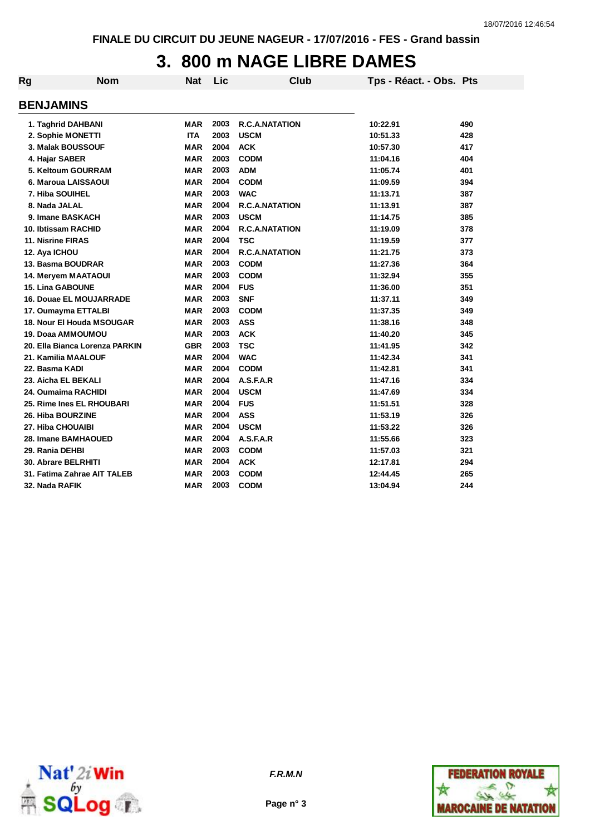# **3. 800 m NAGE LIBRE DAMES**

| Rg                | <b>Nom</b>                     | <b>Nat</b> | Lic  | Club                  | Tps - Réact. - Obs. Pts |     |
|-------------------|--------------------------------|------------|------|-----------------------|-------------------------|-----|
| <b>BENJAMINS</b>  |                                |            |      |                       |                         |     |
|                   | 1. Taghrid DAHBANI             | <b>MAR</b> | 2003 | <b>R.C.A.NATATION</b> | 10:22.91                | 490 |
|                   | 2. Sophie MONETTI              | <b>ITA</b> | 2003 | <b>USCM</b>           | 10:51.33                | 428 |
|                   | 3. Malak BOUSSOUF              | <b>MAR</b> | 2004 | <b>ACK</b>            | 10:57.30                | 417 |
| 4. Hajar SABER    |                                | <b>MAR</b> | 2003 | <b>CODM</b>           | 11:04.16                | 404 |
|                   | 5. Keltoum GOURRAM             | <b>MAR</b> | 2003 | <b>ADM</b>            | 11:05.74                | 401 |
|                   | 6. Maroua LAISSAOUI            | <b>MAR</b> | 2004 | <b>CODM</b>           | 11:09.59                | 394 |
|                   | 7. Hiba SOUIHEL                | <b>MAR</b> | 2003 | <b>WAC</b>            | 11:13.71                | 387 |
| 8. Nada JALAL     |                                | <b>MAR</b> | 2004 | <b>R.C.A.NATATION</b> | 11:13.91                | 387 |
|                   | 9. Imane BASKACH               | <b>MAR</b> | 2003 | <b>USCM</b>           | 11:14.75                | 385 |
|                   | 10. Ibtissam RACHID            | <b>MAR</b> | 2004 | R.C.A.NATATION        | 11:19.09                | 378 |
| 11. Nisrine FIRAS |                                | <b>MAR</b> | 2004 | <b>TSC</b>            | 11:19.59                | 377 |
| 12. Aya ICHOU     |                                | <b>MAR</b> | 2004 | <b>R.C.A.NATATION</b> | 11:21.75                | 373 |
|                   | 13. Basma BOUDRAR              | <b>MAR</b> | 2003 | <b>CODM</b>           | 11:27.36                | 364 |
|                   | <b>14. Mervem MAATAOUI</b>     | <b>MAR</b> | 2003 | <b>CODM</b>           | 11:32.94                | 355 |
|                   | <b>15. Lina GABOUNE</b>        | <b>MAR</b> | 2004 | <b>FUS</b>            | 11:36.00                | 351 |
|                   | 16. Douae EL MOUJARRADE        | <b>MAR</b> | 2003 | <b>SNF</b>            | 11:37.11                | 349 |
|                   | 17. Oumayma ETTALBI            | <b>MAR</b> | 2003 | <b>CODM</b>           | 11:37.35                | 349 |
|                   | 18. Nour El Houda MSOUGAR      | <b>MAR</b> | 2003 | <b>ASS</b>            | 11:38.16                | 348 |
|                   | 19. Doaa AMMOUMOU              | <b>MAR</b> | 2003 | <b>ACK</b>            | 11:40.20                | 345 |
|                   | 20. Ella Bianca Lorenza PARKIN | <b>GBR</b> | 2003 | <b>TSC</b>            | 11:41.95                | 342 |
|                   | 21. Kamilia MAALOUF            | <b>MAR</b> | 2004 | <b>WAC</b>            | 11:42.34                | 341 |
| 22. Basma KADI    |                                | <b>MAR</b> | 2004 | <b>CODM</b>           | 11:42.81                | 341 |
|                   | 23. Aicha EL BEKALI            | <b>MAR</b> | 2004 | A.S.F.A.R             | 11:47.16                | 334 |
|                   | 24. Oumaima RACHIDI            | <b>MAR</b> | 2004 | <b>USCM</b>           | 11:47.69                | 334 |
|                   | 25. Rime Ines EL RHOUBARI      | <b>MAR</b> | 2004 | <b>FUS</b>            | 11:51.51                | 328 |
|                   | 26. Hiba BOURZINE              | <b>MAR</b> | 2004 | <b>ASS</b>            | 11:53.19                | 326 |
|                   | 27. Hiba CHOUAIBI              | <b>MAR</b> | 2004 | <b>USCM</b>           | 11:53.22                | 326 |
|                   | 28. Imane BAMHAOUED            | <b>MAR</b> | 2004 | A.S.F.A.R             | 11:55.66                | 323 |
| 29. Rania DEHBI   |                                | <b>MAR</b> | 2003 | <b>CODM</b>           | 11:57.03                | 321 |
|                   | <b>30. Abrare BELRHITI</b>     | <b>MAR</b> | 2004 | <b>ACK</b>            | 12:17.81                | 294 |
|                   | 31. Fatima Zahrae AIT TALEB    | MAR        | 2003 | <b>CODM</b>           | 12:44.45                | 265 |
| 32. Nada RAFIK    |                                | <b>MAR</b> | 2003 | <b>CODM</b>           | 13:04.94                | 244 |



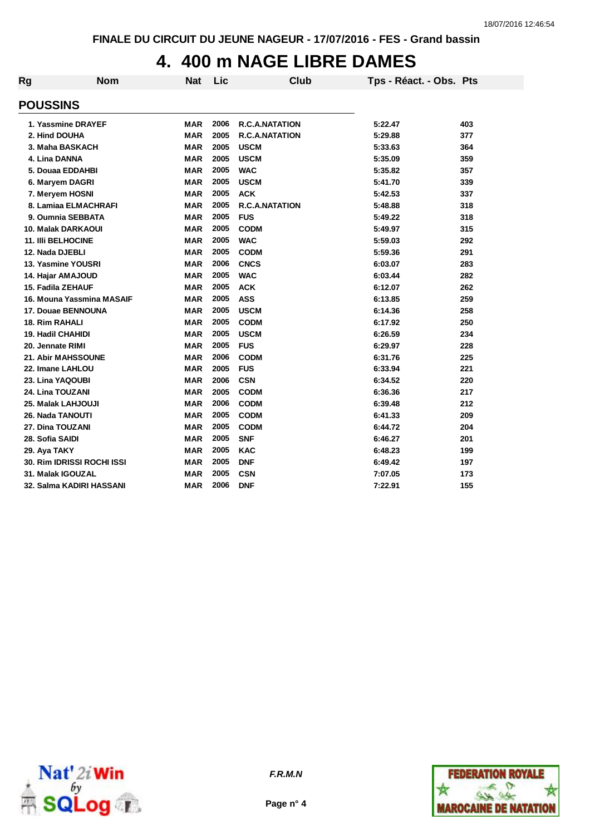# **4. 400 m NAGE LIBRE DAMES**

| Rg | <b>Nom</b>                 | <b>Nat</b> | Lic  | <b>Club</b>           | Tps - Réact. - Obs. Pts |     |
|----|----------------------------|------------|------|-----------------------|-------------------------|-----|
|    | <b>POUSSINS</b>            |            |      |                       |                         |     |
|    | 1. Yassmine DRAYEF         | <b>MAR</b> | 2006 | <b>R.C.A.NATATION</b> | 5:22.47                 | 403 |
|    | 2. Hind DOUHA              | <b>MAR</b> | 2005 | <b>R.C.A.NATATION</b> | 5:29.88                 | 377 |
|    | 3. Maha BASKACH            | <b>MAR</b> | 2005 | <b>USCM</b>           | 5:33.63                 | 364 |
|    | 4. Lina DANNA              | <b>MAR</b> | 2005 | <b>USCM</b>           | 5:35.09                 | 359 |
|    | 5. Douaa EDDAHBI           | <b>MAR</b> | 2005 | <b>WAC</b>            | 5:35.82                 | 357 |
|    | 6. Maryem DAGRI            | <b>MAR</b> | 2005 | <b>USCM</b>           | 5:41.70                 | 339 |
|    | 7. Meryem HOSNI            | <b>MAR</b> | 2005 | <b>ACK</b>            | 5:42.53                 | 337 |
|    | 8. Lamiaa ELMACHRAFI       | <b>MAR</b> | 2005 | R.C.A.NATATION        | 5:48.88                 | 318 |
|    | 9. Oumnia SEBBATA          | <b>MAR</b> | 2005 | <b>FUS</b>            | 5:49.22                 | 318 |
|    | <b>10. Malak DARKAOUI</b>  | <b>MAR</b> | 2005 | <b>CODM</b>           | 5:49.97                 | 315 |
|    | <b>11. IIII BELHOCINE</b>  | <b>MAR</b> | 2005 | <b>WAC</b>            | 5:59.03                 | 292 |
|    | 12. Nada DJEBLI            | <b>MAR</b> | 2005 | <b>CODM</b>           | 5:59.36                 | 291 |
|    | 13. Yasmine YOUSRI         | <b>MAR</b> | 2006 | <b>CNCS</b>           | 6:03.07                 | 283 |
|    | 14. Hajar AMAJOUD          | <b>MAR</b> | 2005 | <b>WAC</b>            | 6:03.44                 | 282 |
|    | 15. Fadila ZEHAUF          | <b>MAR</b> | 2005 | <b>ACK</b>            | 6:12.07                 | 262 |
|    | 16. Mouna Yassmina MASAIF  | <b>MAR</b> | 2005 | <b>ASS</b>            | 6:13.85                 | 259 |
|    | 17. Douae BENNOUNA         | <b>MAR</b> | 2005 | <b>USCM</b>           | 6:14.36                 | 258 |
|    | 18. Rim RAHALI             | <b>MAR</b> | 2005 | <b>CODM</b>           | 6:17.92                 | 250 |
|    | <b>19. Hadil CHAHIDI</b>   | <b>MAR</b> | 2005 | <b>USCM</b>           | 6:26.59                 | 234 |
|    | 20. Jennate RIMI           | <b>MAR</b> | 2005 | <b>FUS</b>            | 6:29.97                 | 228 |
|    | <b>21. Abir MAHSSOUNE</b>  | <b>MAR</b> | 2006 | <b>CODM</b>           | 6:31.76                 | 225 |
|    | 22. Imane LAHLOU           | <b>MAR</b> | 2005 | <b>FUS</b>            | 6:33.94                 | 221 |
|    | 23. Lina YAQOUBI           | <b>MAR</b> | 2006 | <b>CSN</b>            | 6:34.52                 | 220 |
|    | 24. Lina TOUZANI           | <b>MAR</b> | 2005 | <b>CODM</b>           | 6:36.36                 | 217 |
|    | 25. Malak LAHJOUJI         | <b>MAR</b> | 2006 | <b>CODM</b>           | 6:39.48                 | 212 |
|    | 26. Nada TANOUTI           | <b>MAR</b> | 2005 | <b>CODM</b>           | 6:41.33                 | 209 |
|    | 27. Dina TOUZANI           | <b>MAR</b> | 2005 | <b>CODM</b>           | 6:44.72                 | 204 |
|    | 28. Sofia SAIDI            | <b>MAR</b> | 2005 | <b>SNF</b>            | 6:46.27                 | 201 |
|    | 29. Aya TAKY               | <b>MAR</b> | 2005 | <b>KAC</b>            | 6:48.23                 | 199 |
|    | 30. Rim IDRISSI ROCHI ISSI | <b>MAR</b> | 2005 | <b>DNF</b>            | 6:49.42                 | 197 |
|    | 31. Malak IGOUZAL          | <b>MAR</b> | 2005 | <b>CSN</b>            | 7:07.05                 | 173 |
|    | 32. Salma KADIRI HASSANI   | <b>MAR</b> | 2006 | <b>DNF</b>            | 7:22.91                 | 155 |



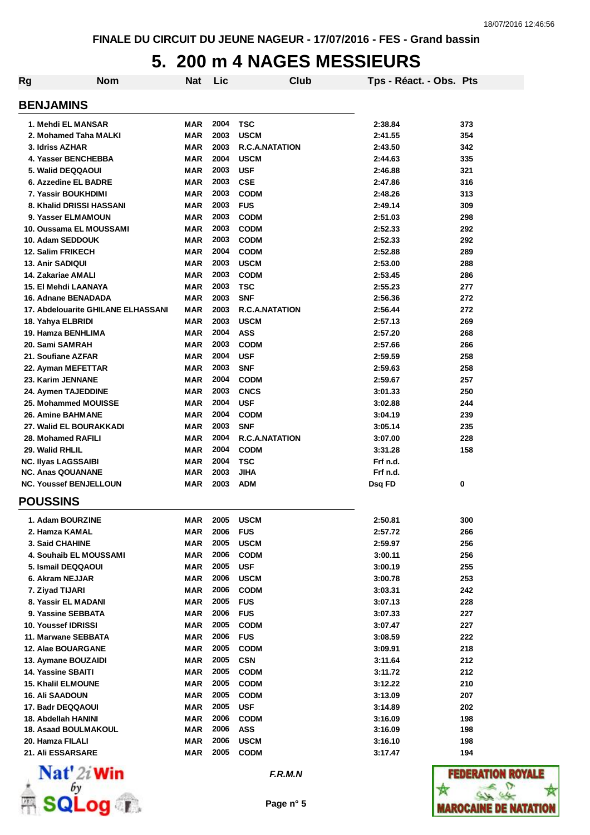#### **5. 200 m 4 NAGES MESSIEURS**

| Rg                                    | Nom                                | Nat        | Lic          | Club                  | Tps - Réact. - Obs. Pts |     |
|---------------------------------------|------------------------------------|------------|--------------|-----------------------|-------------------------|-----|
| <b>BENJAMINS</b>                      |                                    |            |              |                       |                         |     |
|                                       | 1. Mehdi EL MANSAR                 | MAR        | 2004         | <b>TSC</b>            | 2:38.84                 | 373 |
|                                       | 2. Mohamed Taha MALKI              | <b>MAR</b> | 2003         | <b>USCM</b>           | 2:41.55                 | 354 |
| 3. Idriss AZHAR                       |                                    | MAR        | 2003         | R.C.A.NATATION        | 2:43.50                 | 342 |
|                                       | 4. Yasser BENCHEBBA                | MAR        | 2004         | <b>USCM</b>           | 2:44.63                 | 335 |
| 5. Walid DEQQAOUI                     |                                    | MAR        | 2003         | <b>USF</b>            | 2:46.88                 | 321 |
|                                       | 6. Azzedine EL BADRE               | MAR        | 2003         | <b>CSE</b>            | 2:47.86                 | 316 |
|                                       | 7. Yassir BOUKHDIMI                | MAR        | 2003         | <b>CODM</b>           | 2:48.26                 | 313 |
|                                       | 8. Khalid DRISSI HASSANI           | MAR        | 2003         | <b>FUS</b>            | 2:49.14                 | 309 |
|                                       | 9. Yasser ELMAMOUN                 | MAR        | 2003         | <b>CODM</b>           | 2:51.03                 | 298 |
|                                       | 10. Oussama EL MOUSSAMI            | MAR        | 2003         | <b>CODM</b>           | 2:52.33                 | 292 |
| 10. Adam SEDDOUK                      |                                    | MAR        | 2003         | <b>CODM</b>           | 2:52.33                 | 292 |
| <b>12. Salim FRIKECH</b>              |                                    | <b>MAR</b> | 2004         | <b>CODM</b>           | 2:52.88                 | 289 |
| <b>13. Anir SADIQUI</b>               |                                    | <b>MAR</b> | 2003         | <b>USCM</b>           | 2:53.00                 | 288 |
| 14. Zakariae AMALI                    |                                    | <b>MAR</b> | 2003         | <b>CODM</b>           | 2:53.45                 | 286 |
|                                       | 15. El Mehdi LAANAYA               | <b>MAR</b> | 2003         | <b>TSC</b>            | 2:55.23                 | 277 |
|                                       | 16. Adnane BENADADA                | <b>MAR</b> | 2003         | <b>SNF</b>            | 2:56.36                 | 272 |
|                                       | 17. Abdelouarite GHILANE ELHASSANI | <b>MAR</b> | 2003         | <b>R.C.A.NATATION</b> | 2:56.44                 | 272 |
| 18. Yahya ELBRIDI                     |                                    | <b>MAR</b> | 2003         | <b>USCM</b>           | 2:57.13                 | 269 |
| 19. Hamza BENHLIMA                    |                                    | <b>MAR</b> | 2004         | <b>ASS</b>            | 2:57.20                 | 268 |
| 20. Sami SAMRAH                       |                                    | <b>MAR</b> | 2003         | <b>CODM</b>           | 2:57.66                 | 266 |
| 21. Soufiane AZFAR                    |                                    | <b>MAR</b> | 2004         | <b>USF</b>            | 2:59.59                 | 258 |
| 22. Ayman MEFETTAR                    |                                    | <b>MAR</b> | 2003         | <b>SNF</b>            | 2:59.63                 | 258 |
| 23. Karim JENNANE                     |                                    | <b>MAR</b> | 2004         | <b>CODM</b>           | 2:59.67                 | 257 |
|                                       | 24. Aymen TAJEDDINE                | <b>MAR</b> | 2003         | <b>CNCS</b>           | 3:01.33                 | 250 |
|                                       | 25. Mohammed MOUISSE               | MAR        | 2004         | <b>USF</b>            | 3:02.88                 | 244 |
| <b>26. Amine BAHMANE</b>              |                                    | MAR        | 2004         | <b>CODM</b>           | 3:04.19                 | 239 |
|                                       | 27. Walid EL BOURAKKADI            | MAR        | 2003         | <b>SNF</b>            | 3:05.14                 | 235 |
| 28. Mohamed RAFILI                    |                                    | MAR        | 2004         | R.C.A.NATATION        | 3:07.00                 | 228 |
| 29. Walid RHLIL                       |                                    | MAR        | 2004         | <b>CODM</b>           | 3:31.28                 | 158 |
| <b>NC. Ilyas LAGSSAIBI</b>            |                                    | MAR        | 2004         | <b>TSC</b>            | Frf n.d.                |     |
| <b>NC. Anas QOUANANE</b>              |                                    | MAR        | 2003         | <b>JIHA</b>           | Frf n.d.                |     |
|                                       | <b>NC. Youssef BENJELLOUN</b>      | MAR        | 2003         | <b>ADM</b>            | Dsq FD                  | 0   |
| <b>POUSSINS</b>                       |                                    |            |              |                       |                         |     |
| 1. Adam BOURZINE                      |                                    | MAR        | 2005         | <b>USCM</b>           | 2:50.81                 | 300 |
| 2. Hamza KAMAL                        |                                    | <b>MAR</b> | 2006         | <b>FUS</b>            | 2:57.72                 | 266 |
| 3. Said CHAHINE                       |                                    | <b>MAR</b> | 2005         | <b>USCM</b>           | 2:59.97                 | 256 |
|                                       | 4. Souhaib EL MOUSSAMI             | MAR        | 2006         | <b>CODM</b>           | 3:00.11                 | 256 |
| 5. Ismail DEQQAOUI                    |                                    | <b>MAR</b> | 2005         | <b>USF</b>            | 3:00.19                 | 255 |
| 6. Akram NEJJAR                       |                                    | MAR        | 2006         | <b>USCM</b>           | 3:00.78                 | 253 |
| 7. Ziyad TIJARI                       |                                    | <b>MAR</b> | 2006         | <b>CODM</b>           | 3:03.31                 | 242 |
|                                       | 8. Yassir EL MADANI                | MAR        | 2005         | <b>FUS</b>            | 3:07.13                 | 228 |
|                                       | 9. Yassine SEBBATA                 | MAR        | 2006         | <b>FUS</b>            | 3:07.33                 | 227 |
| 10. Youssef IDRISSI                   |                                    | <b>MAR</b> | 2005         | <b>CODM</b>           | 3:07.47                 | 227 |
|                                       | 11. Marwane SEBBATA                | MAR        | 2006         | <b>FUS</b>            | 3:08.59                 | 222 |
| 12. Alae BOUARGANE                    |                                    | MAR        | 2005         | <b>CODM</b>           | 3:09.91                 | 218 |
| 13. Aymane BOUZAIDI                   |                                    | MAR        | 2005         | <b>CSN</b>            | 3:11.64                 | 212 |
| 14. Yassine SBAITI                    |                                    | MAR        | 2005         | <b>CODM</b>           | 3:11.72                 | 212 |
| 15. Khalil ELMOUNE                    |                                    | <b>MAR</b> | 2005         | <b>CODM</b>           | 3:12.22                 | 210 |
| 16. Ali SAADOUN                       |                                    | <b>MAR</b> | 2005         | <b>CODM</b>           | 3:13.09                 | 207 |
| 17. Badr DEQQAOUI                     |                                    | MAR        | 2005         | <b>USF</b>            | 3:14.89                 | 202 |
| 18. Abdellah HANINI                   |                                    | MAR        | 2006         | <b>CODM</b>           | 3:16.09                 | 198 |
|                                       | <b>18. Asaad BOULMAKOUL</b>        | MAR        | 2006<br>2006 | ASS                   | 3:16.09                 | 198 |
| 20. Hamza FILALI<br>21. Ali ESSARSARE |                                    | MAR        | 2005         | <b>USCM</b>           | 3:16.10                 | 198 |
|                                       |                                    | MAR        |              | <b>CODM</b>           | 3:17.47                 | 194 |



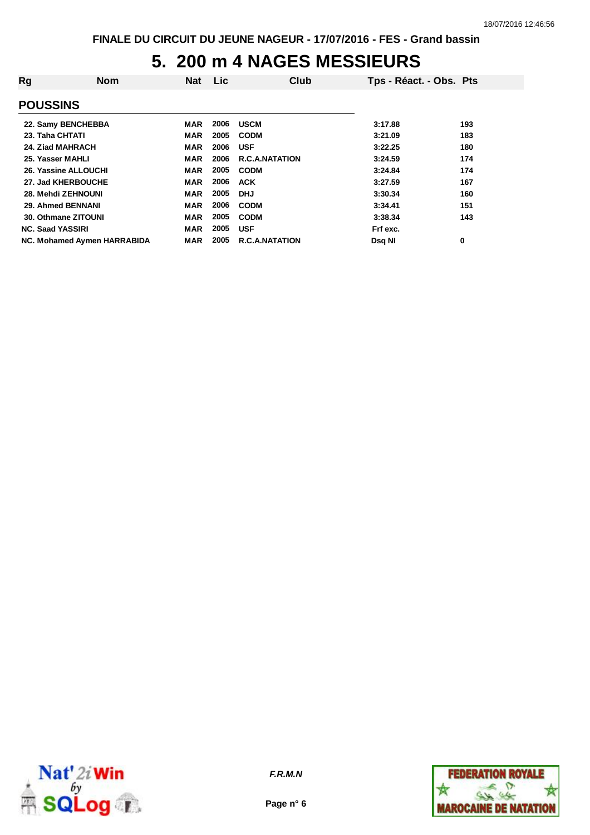### **5. 200 m 4 NAGES MESSIEURS**

| Rg                                 | <b>Nom</b> | <b>Nat</b> | <b>Lic</b> | Club                  | Tps - Réact. - Obs. Pts |     |
|------------------------------------|------------|------------|------------|-----------------------|-------------------------|-----|
| <b>POUSSINS</b>                    |            |            |            |                       |                         |     |
| 22. Samy BENCHEBBA                 |            | MAR        | 2006       | <b>USCM</b>           | 3:17.88                 | 193 |
| 23. Taha CHTATI                    |            | MAR        | 2005       | <b>CODM</b>           | 3:21.09                 | 183 |
| 24. Ziad MAHRACH                   |            | MAR        | 2006       | <b>USF</b>            | 3:22.25                 | 180 |
| 25. Yasser MAHLI                   |            | MAR        | 2006       | <b>R.C.A.NATATION</b> | 3:24.59                 | 174 |
| 26. Yassine ALLOUCHI               |            | <b>MAR</b> | 2005       | <b>CODM</b>           | 3:24.84                 | 174 |
| 27. Jad KHERBOUCHE                 |            | MAR        | 2006       | <b>ACK</b>            | 3:27.59                 | 167 |
| 28. Mehdi ZEHNOUNI                 |            | <b>MAR</b> | 2005       | <b>DHJ</b>            | 3:30.34                 | 160 |
| 29. Ahmed BENNANI                  |            | <b>MAR</b> | 2006       | <b>CODM</b>           | 3:34.41                 | 151 |
| 30. Othmane ZITOUNI                |            | <b>MAR</b> | 2005       | <b>CODM</b>           | 3:38.34                 | 143 |
| <b>NC. Saad YASSIRI</b>            |            | MAR        | 2005       | <b>USF</b>            | Frf exc.                |     |
| <b>NC. Mohamed Aymen HARRABIDA</b> |            | <b>MAR</b> | 2005       | <b>R.C.A.NATATION</b> | <b>Dsg NI</b>           | 0   |



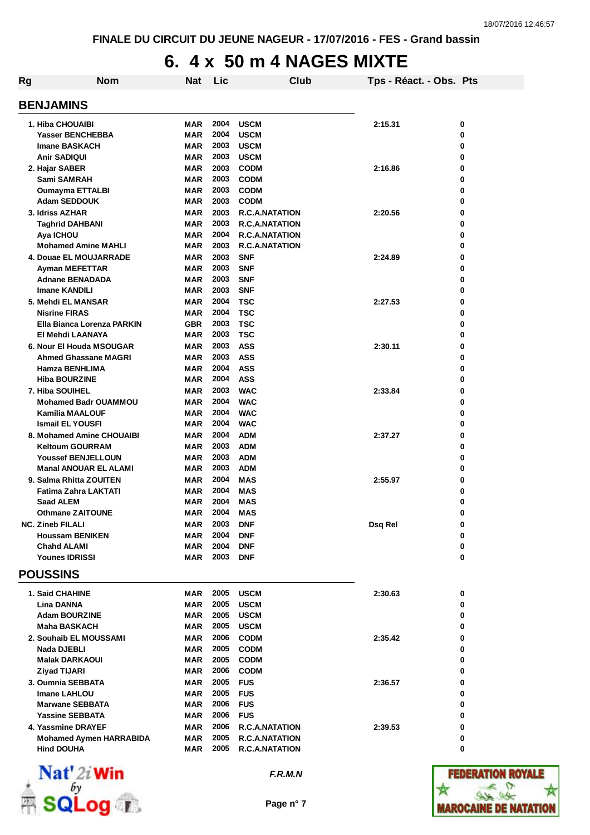# **6. 4 x 50 m 4 NAGES MIXTE**

| Rg | <b>Nom</b>                                     | <b>Nat</b>               | Lic          | Club                     | Tps - Réact. - Obs. Pts |        |
|----|------------------------------------------------|--------------------------|--------------|--------------------------|-------------------------|--------|
|    | <b>BENJAMINS</b>                               |                          |              |                          |                         |        |
|    | 1. Hiba CHOUAIBI                               | <b>MAR</b>               | 2004         | <b>USCM</b>              | 2:15.31                 | 0      |
|    | <b>Yasser BENCHEBBA</b>                        | <b>MAR</b>               | 2004         | <b>USCM</b>              |                         | 0      |
|    | <b>Imane BASKACH</b>                           | <b>MAR</b>               | 2003         | <b>USCM</b>              |                         | 0      |
|    | <b>Anir SADIQUI</b>                            | <b>MAR</b>               | 2003         | <b>USCM</b>              |                         | 0      |
|    | 2. Hajar SABER                                 | <b>MAR</b>               | 2003         | <b>CODM</b>              | 2:16.86                 | 0      |
|    | Sami SAMRAH                                    | <b>MAR</b>               | 2003         | <b>CODM</b>              |                         | 0      |
|    | <b>Oumayma ETTALBI</b>                         | <b>MAR</b>               | 2003         | <b>CODM</b>              |                         | 0      |
|    | <b>Adam SEDDOUK</b>                            | <b>MAR</b>               | 2003         | <b>CODM</b>              |                         | 0      |
|    | 3. Idriss AZHAR                                | <b>MAR</b>               | 2003         | <b>R.C.A.NATATION</b>    | 2:20.56                 | 0      |
|    | <b>Taghrid DAHBANI</b>                         | <b>MAR</b>               | 2003         | <b>R.C.A.NATATION</b>    |                         | 0      |
|    | Aya ICHOU                                      | <b>MAR</b>               | 2004         | <b>R.C.A.NATATION</b>    |                         | 0      |
|    | <b>Mohamed Amine MAHLI</b>                     | <b>MAR</b>               | 2003         | <b>R.C.A.NATATION</b>    |                         | 0      |
|    | 4. Douae EL MOUJARRADE                         | <b>MAR</b>               | 2003         | <b>SNF</b>               | 2:24.89                 | 0      |
|    | Ayman MEFETTAR                                 | <b>MAR</b>               | 2003         | <b>SNF</b>               |                         | 0      |
|    | <b>Adnane BENADADA</b>                         | <b>MAR</b>               | 2003         | <b>SNF</b>               |                         | 0      |
|    | <b>Imane KANDILI</b>                           | <b>MAR</b>               | 2003         | <b>SNF</b>               |                         | 0      |
|    | 5. Mehdi EL MANSAR                             | <b>MAR</b>               | 2004         | <b>TSC</b>               | 2:27.53                 | 0      |
|    | <b>Nisrine FIRAS</b>                           | <b>MAR</b>               | 2004         | <b>TSC</b>               |                         | 0      |
|    | Ella Bianca Lorenza PARKIN                     | <b>GBR</b>               | 2003         | <b>TSC</b>               |                         | 0      |
|    | El Mehdi LAANAYA                               | <b>MAR</b>               | 2003         | <b>TSC</b>               |                         | 0      |
|    | 6. Nour El Houda MSOUGAR                       | <b>MAR</b>               | 2003         | <b>ASS</b>               | 2:30.11                 | 0      |
|    | <b>Ahmed Ghassane MAGRI</b>                    | <b>MAR</b>               | 2003<br>2004 | <b>ASS</b>               |                         | 0      |
|    | Hamza BENHLIMA<br><b>Hiba BOURZINE</b>         | <b>MAR</b><br><b>MAR</b> | 2004         | <b>ASS</b><br><b>ASS</b> |                         | 0<br>0 |
|    |                                                | <b>MAR</b>               | 2003         | <b>WAC</b>               | 2:33.84                 |        |
|    | 7. Hiba SOUIHEL<br><b>Mohamed Badr OUAMMOU</b> | <b>MAR</b>               | 2004         | <b>WAC</b>               |                         | 0<br>0 |
|    | <b>Kamilia MAALOUF</b>                         | <b>MAR</b>               | 2004         | <b>WAC</b>               |                         | 0      |
|    | <b>Ismail EL YOUSFI</b>                        | <b>MAR</b>               | 2004         | <b>WAC</b>               |                         | 0      |
|    | 8. Mohamed Amine CHOUAIBI                      | <b>MAR</b>               | 2004         | <b>ADM</b>               | 2:37.27                 | 0      |
|    | <b>Keltoum GOURRAM</b>                         | <b>MAR</b>               | 2003         | <b>ADM</b>               |                         | 0      |
|    | <b>Youssef BENJELLOUN</b>                      | <b>MAR</b>               | 2003         | <b>ADM</b>               |                         | 0      |
|    | <b>Manal ANOUAR EL ALAMI</b>                   | <b>MAR</b>               | 2003         | <b>ADM</b>               |                         | 0      |
|    | 9. Salma Rhitta ZOUITEN                        | <b>MAR</b>               | 2004         | <b>MAS</b>               | 2:55.97                 | 0      |
|    | Fatima Zahra LAKTATI                           | <b>MAR</b>               | 2004         | <b>MAS</b>               |                         | 0      |
|    | <b>Saad ALEM</b>                               | <b>MAR</b>               | 2004         | MAS                      |                         | 0      |
|    | <b>Othmane ZAITOUNE</b>                        | <b>MAR</b>               | 2004         | <b>MAS</b>               |                         | 0      |
|    | <b>NC. Zineb FILALI</b>                        | MAR                      | 2003         | <b>DNF</b>               | Dsq Rel                 | 0      |
|    | <b>Houssam BENIKEN</b>                         | <b>MAR</b>               | 2004         | <b>DNF</b>               |                         | 0      |
|    | <b>Chahd ALAMI</b>                             | <b>MAR</b>               | 2004         | <b>DNF</b>               |                         | 0      |
|    | <b>Younes IDRISSI</b>                          | <b>MAR</b>               | 2003         | <b>DNF</b>               |                         | 0      |
|    | <b>POUSSINS</b>                                |                          |              |                          |                         |        |
|    | 1. Said CHAHINE                                | <b>MAR</b>               | 2005         | <b>USCM</b>              | 2:30.63                 | 0      |
|    | <b>Lina DANNA</b>                              | <b>MAR</b>               | 2005         | <b>USCM</b>              |                         | 0      |
|    | <b>Adam BOURZINE</b>                           | <b>MAR</b>               | 2005         | <b>USCM</b>              |                         | 0      |
|    | <b>Maha BASKACH</b>                            | <b>MAR</b>               | 2005         | <b>USCM</b>              |                         | 0      |
|    | 2. Souhaib EL MOUSSAMI                         | <b>MAR</b>               | 2006         | <b>CODM</b>              | 2:35.42                 | 0      |
|    | Nada DJEBLI                                    | <b>MAR</b>               | 2005         | <b>CODM</b>              |                         | 0      |
|    | <b>Malak DARKAOUI</b>                          | <b>MAR</b>               | 2005         | <b>CODM</b>              |                         | 0      |
|    | <b>Ziyad TIJARI</b>                            | <b>MAR</b>               | 2006         | <b>CODM</b>              |                         | 0      |
|    | 3. Oumnia SEBBATA                              | <b>MAR</b>               | 2005         | <b>FUS</b>               | 2:36.57                 | 0      |
|    | <b>Imane LAHLOU</b>                            | <b>MAR</b>               | 2005         | <b>FUS</b>               |                         | 0      |
|    | <b>Marwane SEBBATA</b>                         | <b>MAR</b>               | 2006         | <b>FUS</b>               |                         | 0      |
|    | <b>Yassine SEBBATA</b>                         | <b>MAR</b>               | 2006         | <b>FUS</b>               |                         | 0      |
|    | 4. Yassmine DRAYEF                             | <b>MAR</b>               | 2006         | <b>R.C.A.NATATION</b>    | 2:39.53                 | 0      |
|    | <b>Mohamed Aymen HARRABIDA</b>                 | <b>MAR</b>               | 2005         | <b>R.C.A.NATATION</b>    |                         | 0      |
|    | <b>Hind DOUHA</b>                              | MAR                      | 2005         | <b>R.C.A.NATATION</b>    |                         | 0      |
|    | $N_{\alpha}$ 41.0.1842                         |                          |              |                          |                         |        |



*F.R.M.N*

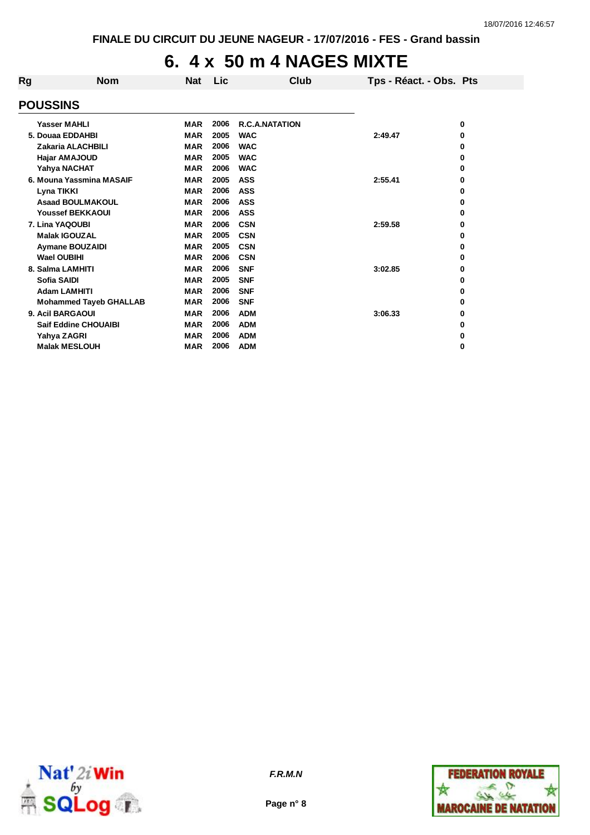### **6. 4 x 50 m 4 NAGES MIXTE**

| Rg              | <b>Nom</b>                    | <b>Nat</b> | Lic  | Club                  | Tps - Réact. - Obs. Pts |   |
|-----------------|-------------------------------|------------|------|-----------------------|-------------------------|---|
| <b>POUSSINS</b> |                               |            |      |                       |                         |   |
|                 | Yasser MAHLI                  | <b>MAR</b> | 2006 | <b>R.C.A.NATATION</b> |                         | 0 |
|                 | 5. Douaa EDDAHBI              | <b>MAR</b> | 2005 | <b>WAC</b>            | 2:49.47                 | 0 |
|                 | <b>Zakaria ALACHBILI</b>      | <b>MAR</b> | 2006 | <b>WAC</b>            |                         | 0 |
|                 | Hajar AMAJOUD                 | <b>MAR</b> | 2005 | <b>WAC</b>            |                         | 0 |
|                 | Yahya NACHAT                  | <b>MAR</b> | 2006 | <b>WAC</b>            |                         | 0 |
|                 | 6. Mouna Yassmina MASAIF      | <b>MAR</b> | 2005 | <b>ASS</b>            | 2:55.41                 | 0 |
|                 | Lyna TIKKI                    | <b>MAR</b> | 2006 | <b>ASS</b>            |                         | 0 |
|                 | <b>Asaad BOULMAKOUL</b>       | <b>MAR</b> | 2006 | <b>ASS</b>            |                         | 0 |
|                 | <b>Youssef BEKKAOUI</b>       | <b>MAR</b> | 2006 | <b>ASS</b>            |                         | 0 |
|                 | 7. Lina YAQOUBI               | <b>MAR</b> | 2006 | <b>CSN</b>            | 2:59.58                 | 0 |
|                 | <b>Malak IGOUZAL</b>          | <b>MAR</b> | 2005 | <b>CSN</b>            |                         | 0 |
|                 | <b>Aymane BOUZAIDI</b>        | <b>MAR</b> | 2005 | <b>CSN</b>            |                         | 0 |
|                 | <b>Wael OUBIHI</b>            | <b>MAR</b> | 2006 | <b>CSN</b>            |                         | 0 |
|                 | 8. Salma LAMHITI              | <b>MAR</b> | 2006 | <b>SNF</b>            | 3:02.85                 | 0 |
|                 | <b>Sofia SAIDI</b>            | <b>MAR</b> | 2005 | <b>SNF</b>            |                         | 0 |
|                 | <b>Adam LAMHITI</b>           | <b>MAR</b> | 2006 | <b>SNF</b>            |                         | 0 |
|                 | <b>Mohammed Tayeb GHALLAB</b> | <b>MAR</b> | 2006 | <b>SNF</b>            |                         | 0 |
|                 | 9. Acil BARGAOUI              | <b>MAR</b> | 2006 | <b>ADM</b>            | 3:06.33                 | 0 |
|                 | <b>Saif Eddine CHOUAIBI</b>   | <b>MAR</b> | 2006 | <b>ADM</b>            |                         | 0 |
|                 | Yahya ZAGRI                   | <b>MAR</b> | 2006 | <b>ADM</b>            |                         | 0 |
|                 | <b>Malak MESLOUH</b>          | <b>MAR</b> | 2006 | <b>ADM</b>            |                         | 0 |





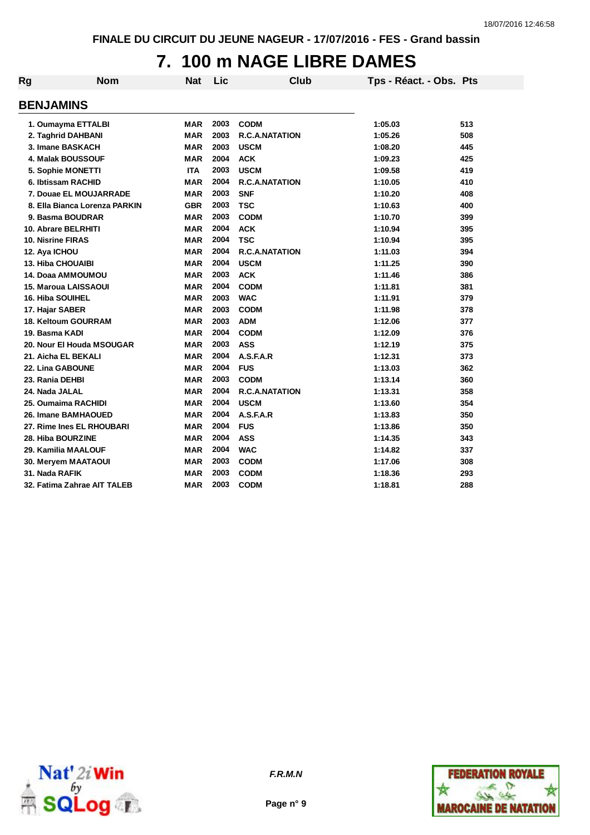# **7. 100 m NAGE LIBRE DAMES**

| Rg                       | <b>Nom</b>                    | <b>Nat</b> | <b>Lic</b> | <b>Club</b>           | Tps - Réact. - Obs. Pts |     |
|--------------------------|-------------------------------|------------|------------|-----------------------|-------------------------|-----|
| <b>BENJAMINS</b>         |                               |            |            |                       |                         |     |
|                          | 1. Oumayma ETTALBI            | MAR        | 2003       | <b>CODM</b>           | 1:05.03                 | 513 |
|                          | 2. Taghrid DAHBANI            | <b>MAR</b> | 2003       | <b>R.C.A.NATATION</b> | 1:05.26                 | 508 |
|                          | 3. Imane BASKACH              | <b>MAR</b> | 2003       | <b>USCM</b>           | 1:08.20                 | 445 |
|                          | 4. Malak BOUSSOUF             | <b>MAR</b> | 2004       | <b>ACK</b>            | 1:09.23                 | 425 |
|                          | 5. Sophie MONETTI             | <b>ITA</b> | 2003       | <b>USCM</b>           | 1:09.58                 | 419 |
|                          | 6. Ibtissam RACHID            | <b>MAR</b> | 2004       | <b>R.C.A.NATATION</b> | 1:10.05                 | 410 |
|                          | 7. Douae EL MOUJARRADE        | <b>MAR</b> | 2003       | <b>SNF</b>            | 1:10.20                 | 408 |
|                          | 8. Ella Bianca Lorenza PARKIN | GBR        | 2003       | <b>TSC</b>            | 1:10.63                 | 400 |
|                          | 9. Basma BOUDRAR              | <b>MAR</b> | 2003       | <b>CODM</b>           | 1:10.70                 | 399 |
| 10. Abrare BELRHITI      |                               | <b>MAR</b> | 2004       | <b>ACK</b>            | 1:10.94                 | 395 |
| <b>10. Nisrine FIRAS</b> |                               | <b>MAR</b> | 2004       | <b>TSC</b>            | 1:10.94                 | 395 |
| 12. Aya ICHOU            |                               | <b>MAR</b> | 2004       | <b>R.C.A.NATATION</b> | 1:11.03                 | 394 |
| 13. Hiba CHOUAIBI        |                               | <b>MAR</b> | 2004       | <b>USCM</b>           | 1:11.25                 | 390 |
|                          | 14. Doaa AMMOUMOU             | <b>MAR</b> | 2003       | <b>ACK</b>            | 1:11.46                 | 386 |
|                          | <b>15. Maroua LAISSAOUI</b>   | <b>MAR</b> | 2004       | <b>CODM</b>           | 1:11.81                 | 381 |
| <b>16. Hiba SOUIHEL</b>  |                               | <b>MAR</b> | 2003       | <b>WAC</b>            | 1:11.91                 | 379 |
| 17. Hajar SABER          |                               | <b>MAR</b> | 2003       | <b>CODM</b>           | 1:11.98                 | 378 |
|                          | <b>18. Keltoum GOURRAM</b>    | <b>MAR</b> | 2003       | <b>ADM</b>            | 1:12.06                 | 377 |
| 19. Basma KADI           |                               | <b>MAR</b> | 2004       | <b>CODM</b>           | 1:12.09                 | 376 |
|                          | 20. Nour El Houda MSOUGAR     | <b>MAR</b> | 2003       | <b>ASS</b>            | 1:12.19                 | 375 |
| 21. Aicha EL BEKALI      |                               | <b>MAR</b> | 2004       | A.S.F.A.R             | 1:12.31                 | 373 |
| 22. Lina GABOUNE         |                               | <b>MAR</b> | 2004       | <b>FUS</b>            | 1:13.03                 | 362 |
| 23. Rania DEHBI          |                               | <b>MAR</b> | 2003       | <b>CODM</b>           | 1:13.14                 | 360 |
| 24. Nada JALAL           |                               | <b>MAR</b> | 2004       | <b>R.C.A.NATATION</b> | 1:13.31                 | 358 |
|                          | 25. Oumaima RACHIDI           | <b>MAR</b> | 2004       | <b>USCM</b>           | 1:13.60                 | 354 |
|                          | 26. Imane BAMHAOUED           | <b>MAR</b> | 2004       | A.S.F.A.R             | 1:13.83                 | 350 |
|                          | 27. Rime Ines EL RHOUBARI     | <b>MAR</b> | 2004       | <b>FUS</b>            | 1:13.86                 | 350 |
| 28. Hiba BOURZINE        |                               | <b>MAR</b> | 2004       | <b>ASS</b>            | 1:14.35                 | 343 |
|                          | 29. Kamilia MAALOUF           | <b>MAR</b> | 2004       | <b>WAC</b>            | 1:14.82                 | 337 |
|                          | 30. Meryem MAATAOUI           | <b>MAR</b> | 2003       | <b>CODM</b>           | 1:17.06                 | 308 |
| 31. Nada RAFIK           |                               | MAR        | 2003       | <b>CODM</b>           | 1:18.36                 | 293 |
|                          | 32. Fatima Zahrae AIT TALEB   | <b>MAR</b> | 2003       | <b>CODM</b>           | 1:18.81                 | 288 |



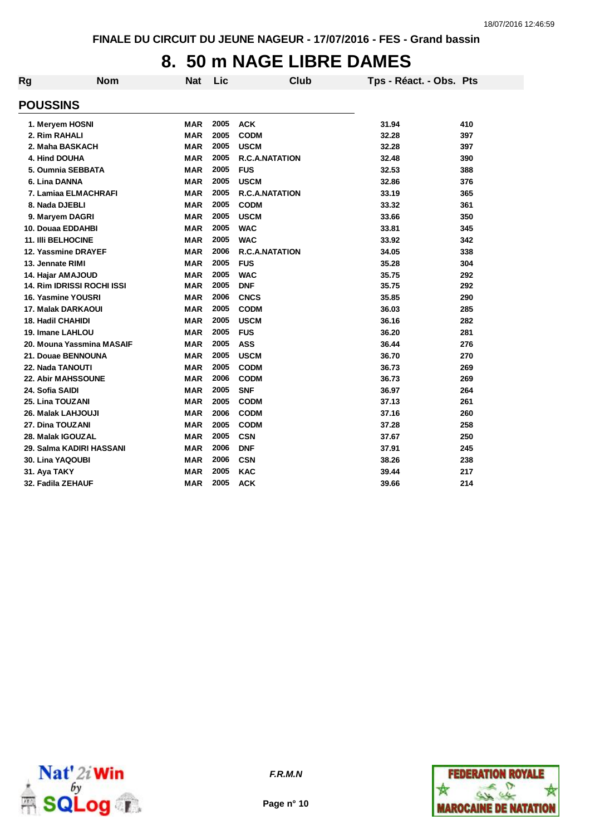### **8. 50 m NAGE LIBRE DAMES**

| Rg | <b>Nom</b>                        | <b>Nat</b> | Lic  | Club                  | Tps - Réact. - Obs. Pts |     |
|----|-----------------------------------|------------|------|-----------------------|-------------------------|-----|
|    | <b>POUSSINS</b>                   |            |      |                       |                         |     |
|    | 1. Meryem HOSNI                   | <b>MAR</b> | 2005 | <b>ACK</b>            | 31.94                   | 410 |
|    | 2. Rim RAHALI                     | <b>MAR</b> | 2005 | <b>CODM</b>           | 32.28                   | 397 |
|    | 2. Maha BASKACH                   | <b>MAR</b> | 2005 | <b>USCM</b>           | 32.28                   | 397 |
|    | 4. Hind DOUHA                     | <b>MAR</b> | 2005 | <b>R.C.A.NATATION</b> | 32.48                   | 390 |
|    | 5. Oumnia SEBBATA                 | <b>MAR</b> | 2005 | <b>FUS</b>            | 32.53                   | 388 |
|    | 6. Lina DANNA                     | <b>MAR</b> | 2005 | <b>USCM</b>           | 32.86                   | 376 |
|    | 7. Lamiaa ELMACHRAFI              | <b>MAR</b> | 2005 | <b>R.C.A.NATATION</b> | 33.19                   | 365 |
|    | 8. Nada DJEBLI                    | <b>MAR</b> | 2005 | <b>CODM</b>           | 33.32                   | 361 |
|    | 9. Maryem DAGRI                   | <b>MAR</b> | 2005 | <b>USCM</b>           | 33.66                   | 350 |
|    | 10. Douaa EDDAHBI                 | <b>MAR</b> | 2005 | <b>WAC</b>            | 33.81                   | 345 |
|    | 11. IIIi BELHOCINE                | <b>MAR</b> | 2005 | <b>WAC</b>            | 33.92                   | 342 |
|    | 12. Yassmine DRAYEF               | <b>MAR</b> | 2006 | <b>R.C.A.NATATION</b> | 34.05                   | 338 |
|    | 13. Jennate RIMI                  | <b>MAR</b> | 2005 | <b>FUS</b>            | 35.28                   | 304 |
|    | 14. Hajar AMAJOUD                 | <b>MAR</b> | 2005 | <b>WAC</b>            | 35.75                   | 292 |
|    | <b>14. Rim IDRISSI ROCHI ISSI</b> | <b>MAR</b> | 2005 | <b>DNF</b>            | 35.75                   | 292 |
|    | 16. Yasmine YOUSRI                | <b>MAR</b> | 2006 | <b>CNCS</b>           | 35.85                   | 290 |
|    | <b>17. Malak DARKAOUI</b>         | <b>MAR</b> | 2005 | <b>CODM</b>           | 36.03                   | 285 |
|    | <b>18. Hadil CHAHIDI</b>          | <b>MAR</b> | 2005 | <b>USCM</b>           | 36.16                   | 282 |
|    | 19. Imane LAHLOU                  | <b>MAR</b> | 2005 | <b>FUS</b>            | 36.20                   | 281 |
|    | 20. Mouna Yassmina MASAIF         | <b>MAR</b> | 2005 | <b>ASS</b>            | 36.44                   | 276 |
|    | 21. Douae BENNOUNA                | <b>MAR</b> | 2005 | <b>USCM</b>           | 36.70                   | 270 |
|    | 22. Nada TANOUTI                  | <b>MAR</b> | 2005 | <b>CODM</b>           | 36.73                   | 269 |
|    | 22. Abir MAHSSOUNE                | <b>MAR</b> | 2006 | <b>CODM</b>           | 36.73                   | 269 |
|    | 24. Sofia SAIDI                   | <b>MAR</b> | 2005 | <b>SNF</b>            | 36.97                   | 264 |
|    | 25. Lina TOUZANI                  | <b>MAR</b> | 2005 | <b>CODM</b>           | 37.13                   | 261 |
|    | 26. Malak LAHJOUJI                | <b>MAR</b> | 2006 | <b>CODM</b>           | 37.16                   | 260 |
|    | 27. Dina TOUZANI                  | <b>MAR</b> | 2005 | <b>CODM</b>           | 37.28                   | 258 |
|    | 28. Malak IGOUZAL                 | <b>MAR</b> | 2005 | <b>CSN</b>            | 37.67                   | 250 |
|    | 29. Salma KADIRI HASSANI          | <b>MAR</b> | 2006 | <b>DNF</b>            | 37.91                   | 245 |
|    | 30. Lina YAQOUBI                  | <b>MAR</b> | 2006 | <b>CSN</b>            | 38.26                   | 238 |
|    | 31. Aya TAKY                      | <b>MAR</b> | 2005 | <b>KAC</b>            | 39.44                   | 217 |
|    | 32. Fadila ZEHAUF                 | <b>MAR</b> | 2005 | <b>ACK</b>            | 39.66                   | 214 |



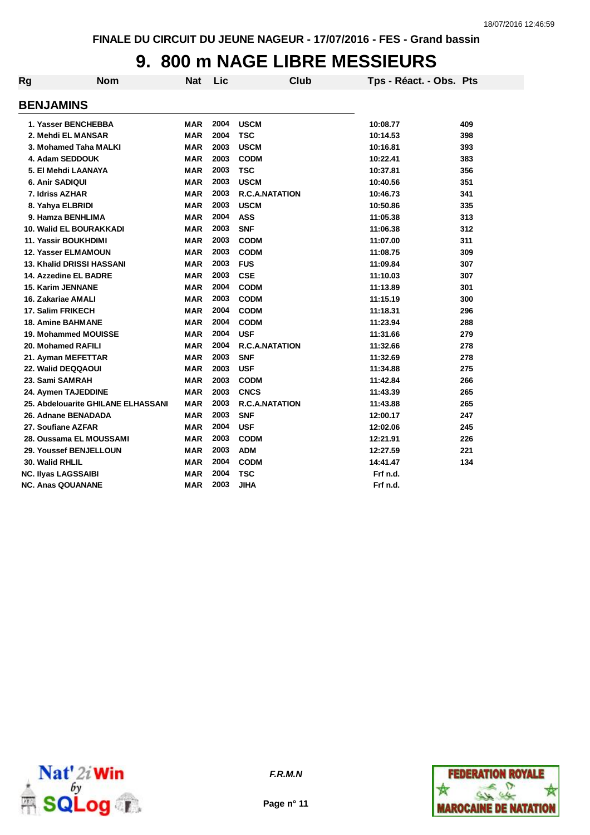#### **9. 800 m NAGE LIBRE MESSIEURS**

| Rg | <b>Nom</b>                         | <b>Nat</b> | Lic  | Club                  | Tps - Réact. - Obs. Pts |     |
|----|------------------------------------|------------|------|-----------------------|-------------------------|-----|
|    | <b>BENJAMINS</b>                   |            |      |                       |                         |     |
|    | 1. Yasser BENCHEBBA                | MAR        | 2004 | <b>USCM</b>           | 10:08.77                | 409 |
|    | 2. Mehdi EL MANSAR                 | <b>MAR</b> | 2004 | <b>TSC</b>            | 10:14.53                | 398 |
|    | 3. Mohamed Taha MALKI              | <b>MAR</b> | 2003 | <b>USCM</b>           | 10:16.81                | 393 |
|    | 4. Adam SEDDOUK                    | <b>MAR</b> | 2003 | <b>CODM</b>           | 10:22.41                | 383 |
|    | 5. El Mehdi LAANAYA                | <b>MAR</b> | 2003 | <b>TSC</b>            | 10:37.81                | 356 |
|    | 6. Anir SADIQUI                    | <b>MAR</b> | 2003 | <b>USCM</b>           | 10:40.56                | 351 |
|    | 7. Idriss AZHAR                    | <b>MAR</b> | 2003 | <b>R.C.A.NATATION</b> | 10:46.73                | 341 |
|    | 8. Yahya ELBRIDI                   | <b>MAR</b> | 2003 | <b>USCM</b>           | 10:50.86                | 335 |
|    | 9. Hamza BENHLIMA                  | <b>MAR</b> | 2004 | <b>ASS</b>            | 11:05.38                | 313 |
|    | <b>10. Walid EL BOURAKKADI</b>     | <b>MAR</b> | 2003 | <b>SNF</b>            | 11:06.38                | 312 |
|    | <b>11. Yassir BOUKHDIMI</b>        | <b>MAR</b> | 2003 | <b>CODM</b>           | 11:07.00                | 311 |
|    | <b>12. Yasser ELMAMOUN</b>         | <b>MAR</b> | 2003 | <b>CODM</b>           | 11:08.75                | 309 |
|    | <b>13. Khalid DRISSI HASSANI</b>   | <b>MAR</b> | 2003 | <b>FUS</b>            | 11:09.84                | 307 |
|    | 14. Azzedine EL BADRE              | <b>MAR</b> | 2003 | <b>CSE</b>            | 11:10.03                | 307 |
|    | <b>15. Karim JENNANE</b>           | <b>MAR</b> | 2004 | <b>CODM</b>           | 11:13.89                | 301 |
|    | 16. Zakariae AMALI                 | <b>MAR</b> | 2003 | <b>CODM</b>           | 11:15.19                | 300 |
|    | 17. Salim FRIKECH                  | <b>MAR</b> | 2004 | <b>CODM</b>           | 11:18.31                | 296 |
|    | <b>18. Amine BAHMANE</b>           | <b>MAR</b> | 2004 | <b>CODM</b>           | 11:23.94                | 288 |
|    | 19. Mohammed MOUISSE               | <b>MAR</b> | 2004 | <b>USF</b>            | 11:31.66                | 279 |
|    | 20. Mohamed RAFILI                 | <b>MAR</b> | 2004 | <b>R.C.A.NATATION</b> | 11:32.66                | 278 |
|    | 21. Ayman MEFETTAR                 | <b>MAR</b> | 2003 | <b>SNF</b>            | 11:32.69                | 278 |
|    | 22. Walid DEQQAOUI                 | <b>MAR</b> | 2003 | <b>USF</b>            | 11:34.88                | 275 |
|    | 23. Sami SAMRAH                    | <b>MAR</b> | 2003 | <b>CODM</b>           | 11:42.84                | 266 |
|    | 24. Aymen TAJEDDINE                | <b>MAR</b> | 2003 | <b>CNCS</b>           | 11:43.39                | 265 |
|    | 25. Abdelouarite GHILANE ELHASSANI | <b>MAR</b> | 2003 | R.C.A.NATATION        | 11:43.88                | 265 |
|    | 26. Adnane BENADADA                | <b>MAR</b> | 2003 | <b>SNF</b>            | 12:00.17                | 247 |
|    | 27. Soufiane AZFAR                 | <b>MAR</b> | 2004 | <b>USF</b>            | 12:02.06                | 245 |
|    | 28. Oussama EL MOUSSAMI            | <b>MAR</b> | 2003 | <b>CODM</b>           | 12:21.91                | 226 |
|    | 29. Youssef BENJELLOUN             | <b>MAR</b> | 2003 | <b>ADM</b>            | 12:27.59                | 221 |
|    | 30. Walid RHLIL                    | MAR        | 2004 | <b>CODM</b>           | 14:41.47                | 134 |
|    | <b>NC. Ilyas LAGSSAIBI</b>         | <b>MAR</b> | 2004 | <b>TSC</b>            | Frf n.d.                |     |
|    | <b>NC. Anas QOUANANE</b>           | <b>MAR</b> | 2003 | <b>JIHA</b>           | Frf n.d.                |     |



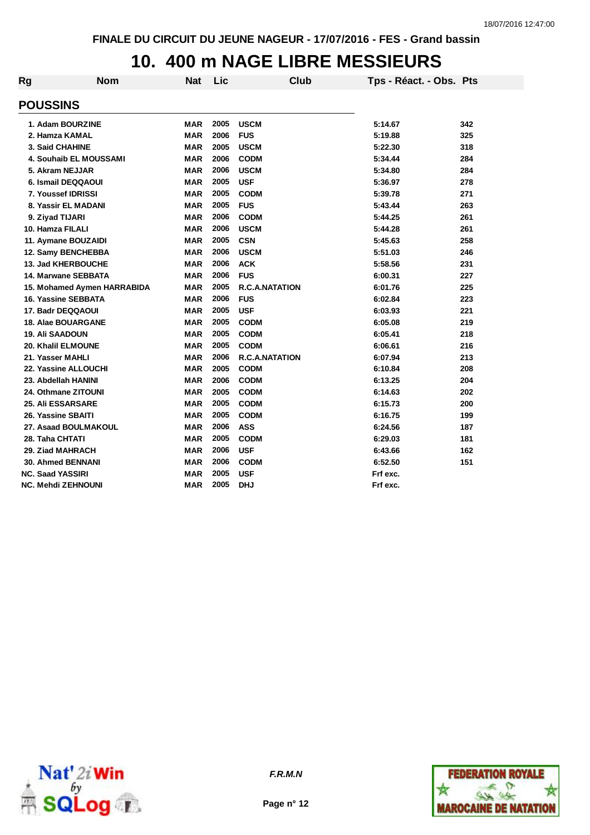#### **10. 400 m NAGE LIBRE MESSIEURS**

| Rg | <b>Nom</b>                    | <b>Nat</b> | Lic  | Club                  | Tps - Réact. - Obs. Pts |     |
|----|-------------------------------|------------|------|-----------------------|-------------------------|-----|
|    | <b>POUSSINS</b>               |            |      |                       |                         |     |
|    | 1. Adam BOURZINE              | MAR        | 2005 | <b>USCM</b>           | 5:14.67                 | 342 |
|    | 2. Hamza KAMAL                | <b>MAR</b> | 2006 | <b>FUS</b>            | 5:19.88                 | 325 |
|    | <b>3. Said CHAHINE</b>        | <b>MAR</b> | 2005 | <b>USCM</b>           | 5:22.30                 | 318 |
|    | <b>4. Souhaib EL MOUSSAMI</b> | <b>MAR</b> | 2006 | <b>CODM</b>           | 5:34.44                 | 284 |
|    | 5. Akram NEJJAR               | <b>MAR</b> | 2006 | <b>USCM</b>           | 5:34.80                 | 284 |
|    | 6. Ismail DEQQAOUI            | <b>MAR</b> | 2005 | <b>USF</b>            | 5:36.97                 | 278 |
|    | 7. Youssef IDRISSI            | <b>MAR</b> | 2005 | <b>CODM</b>           | 5:39.78                 | 271 |
|    | 8. Yassir EL MADANI           | <b>MAR</b> | 2005 | <b>FUS</b>            | 5:43.44                 | 263 |
|    | 9. Ziyad TIJARI               | MAR        | 2006 | <b>CODM</b>           | 5:44.25                 | 261 |
|    | 10. Hamza FILALI              | <b>MAR</b> | 2006 | <b>USCM</b>           | 5:44.28                 | 261 |
|    | 11. Aymane BOUZAIDI           | <b>MAR</b> | 2005 | <b>CSN</b>            | 5:45.63                 | 258 |
|    | 12. Samy BENCHEBBA            | <b>MAR</b> | 2006 | <b>USCM</b>           | 5:51.03                 | 246 |
|    | 13. Jad KHERBOUCHE            | <b>MAR</b> | 2006 | <b>ACK</b>            | 5:58.56                 | 231 |
|    | 14. Marwane SEBBATA           | <b>MAR</b> | 2006 | <b>FUS</b>            | 6:00.31                 | 227 |
|    | 15. Mohamed Aymen HARRABIDA   | <b>MAR</b> | 2005 | <b>R.C.A.NATATION</b> | 6:01.76                 | 225 |
|    | 16. Yassine SEBBATA           | <b>MAR</b> | 2006 | <b>FUS</b>            | 6:02.84                 | 223 |
|    | 17. Badr DEQQAOUI             | <b>MAR</b> | 2005 | <b>USF</b>            | 6:03.93                 | 221 |
|    | <b>18. Alae BOUARGANE</b>     | <b>MAR</b> | 2005 | <b>CODM</b>           | 6:05.08                 | 219 |
|    | <b>19. Ali SAADOUN</b>        | <b>MAR</b> | 2005 | <b>CODM</b>           | 6:05.41                 | 218 |
|    | <b>20. Khalil ELMOUNE</b>     | <b>MAR</b> | 2005 | <b>CODM</b>           | 6:06.61                 | 216 |
|    | 21. Yasser MAHLI              | <b>MAR</b> | 2006 | <b>R.C.A.NATATION</b> | 6:07.94                 | 213 |
|    | 22. Yassine ALLOUCHI          | <b>MAR</b> | 2005 | <b>CODM</b>           | 6:10.84                 | 208 |
|    | 23. Abdellah HANINI           | <b>MAR</b> | 2006 | <b>CODM</b>           | 6:13.25                 | 204 |
|    | 24. Othmane ZITOUNI           | <b>MAR</b> | 2005 | <b>CODM</b>           | 6:14.63                 | 202 |
|    | <b>25. Ali ESSARSARE</b>      | <b>MAR</b> | 2005 | <b>CODM</b>           | 6:15.73                 | 200 |
|    | 26. Yassine SBAITI            | <b>MAR</b> | 2005 | <b>CODM</b>           | 6:16.75                 | 199 |
|    | 27. Asaad BOULMAKOUL          | <b>MAR</b> | 2006 | <b>ASS</b>            | 6:24.56                 | 187 |
|    | 28. Taha CHTATI               | <b>MAR</b> | 2005 | <b>CODM</b>           | 6:29.03                 | 181 |
|    | 29. Ziad MAHRACH              | <b>MAR</b> | 2006 | <b>USF</b>            | 6:43.66                 | 162 |
|    | <b>30. Ahmed BENNANI</b>      | <b>MAR</b> | 2006 | <b>CODM</b>           | 6:52.50                 | 151 |
|    | <b>NC. Saad YASSIRI</b>       | <b>MAR</b> | 2005 | <b>USF</b>            | Frf exc.                |     |
|    | NC. Mehdi ZEHNOUNI            | <b>MAR</b> | 2005 | <b>DHJ</b>            | Frf exc.                |     |



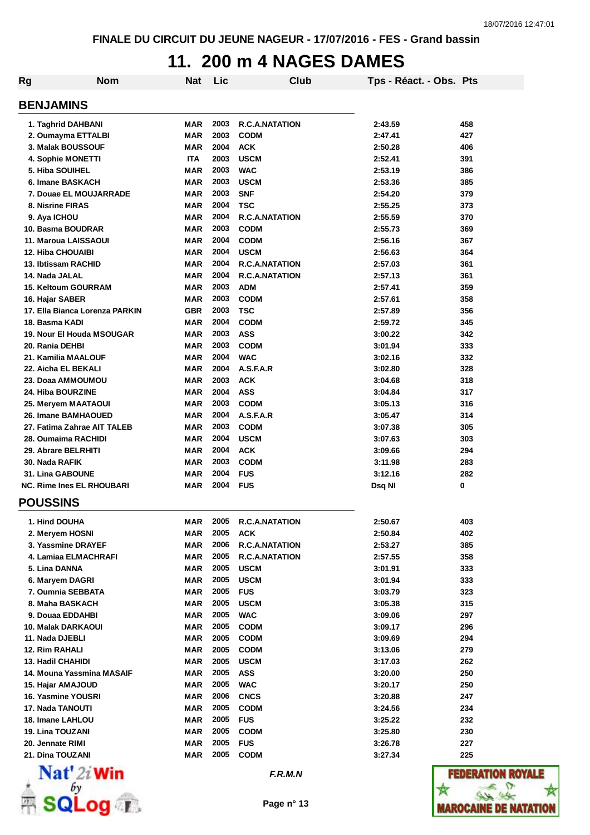### **11. 200 m 4 NAGES DAMES**

| <b>Rg</b> | <b>Nom</b>                       | <b>Nat</b> | Lic  | Club                  | Tps - Réact. - Obs. Pts |                 |  |  |
|-----------|----------------------------------|------------|------|-----------------------|-------------------------|-----------------|--|--|
|           | <b>BENJAMINS</b>                 |            |      |                       |                         |                 |  |  |
|           | 1. Taghrid DAHBANI               | MAR        | 2003 | <b>R.C.A.NATATION</b> | 2:43.59                 | 458             |  |  |
|           | 2. Oumayma ETTALBI               | <b>MAR</b> | 2003 | <b>CODM</b>           | 2:47.41                 | 427             |  |  |
|           | 3. Malak BOUSSOUF                | <b>MAR</b> | 2004 | <b>ACK</b>            | 2:50.28                 | 406             |  |  |
|           | 4. Sophie MONETTI                | <b>ITA</b> | 2003 | <b>USCM</b>           | 2:52.41                 | 391             |  |  |
|           | 5. Hiba SOUIHEL                  | MAR        | 2003 | <b>WAC</b>            | 2:53.19                 | 386             |  |  |
|           | 6. Imane BASKACH                 | <b>MAR</b> | 2003 | <b>USCM</b>           | 2:53.36                 | 385             |  |  |
|           | 7. Douae EL MOUJARRADE           | <b>MAR</b> | 2003 | <b>SNF</b>            | 2:54.20                 | 379             |  |  |
|           | 8. Nisrine FIRAS                 | <b>MAR</b> | 2004 | <b>TSC</b>            | 2:55.25                 | 373             |  |  |
|           | 9. Aya ICHOU                     | <b>MAR</b> | 2004 | <b>R.C.A.NATATION</b> | 2:55.59                 | 370             |  |  |
|           | 10. Basma BOUDRAR                | <b>MAR</b> | 2003 | <b>CODM</b>           | 2:55.73                 | 369             |  |  |
|           | 11. Maroua LAISSAOUI             | <b>MAR</b> | 2004 | <b>CODM</b>           | 2:56.16                 | 367             |  |  |
|           | <b>12. Hiba CHOUAIBI</b>         | <b>MAR</b> | 2004 | <b>USCM</b>           | 2:56.63                 | 364             |  |  |
|           | 13. Ibtissam RACHID              | <b>MAR</b> | 2004 | <b>R.C.A.NATATION</b> | 2:57.03                 | 361             |  |  |
|           | 14. Nada JALAL                   | <b>MAR</b> | 2004 | <b>R.C.A.NATATION</b> | 2:57.13                 | 361             |  |  |
|           | <b>15. Keltoum GOURRAM</b>       | <b>MAR</b> | 2003 | <b>ADM</b>            | 2:57.41                 | 359             |  |  |
|           | 16. Hajar SABER                  | <b>MAR</b> | 2003 | <b>CODM</b>           | 2:57.61                 | 358             |  |  |
|           | 17. Ella Bianca Lorenza PARKIN   | <b>GBR</b> | 2003 | <b>TSC</b>            | 2:57.89                 | 356             |  |  |
|           | 18. Basma KADI                   | <b>MAR</b> | 2004 | <b>CODM</b>           | 2:59.72                 | 345             |  |  |
|           | 19. Nour El Houda MSOUGAR        | <b>MAR</b> | 2003 | <b>ASS</b>            | 3:00.22                 | 342             |  |  |
|           | 20. Rania DEHBI                  | <b>MAR</b> | 2003 | <b>CODM</b>           | 3:01.94                 | 333             |  |  |
|           | 21. Kamilia MAALOUF              | <b>MAR</b> | 2004 | <b>WAC</b>            | 3:02.16                 | 332             |  |  |
|           | 22. Aicha EL BEKALI              | <b>MAR</b> | 2004 | A.S.F.A.R             | 3:02.80                 | 328             |  |  |
|           | 23. Doaa AMMOUMOU                | <b>MAR</b> | 2003 | <b>ACK</b>            | 3:04.68                 | 318             |  |  |
|           | 24. Hiba BOURZINE                | <b>MAR</b> | 2004 | <b>ASS</b>            | 3:04.84                 | 317             |  |  |
|           | 25. Meryem MAATAOUI              | <b>MAR</b> | 2003 | <b>CODM</b>           | 3:05.13                 | 316             |  |  |
|           | 26. Imane BAMHAOUED              | <b>MAR</b> | 2004 | A.S.F.A.R             | 3:05.47                 | 314             |  |  |
|           | 27. Fatima Zahrae AIT TALEB      | MAR        | 2003 | <b>CODM</b>           | 3:07.38                 | 305             |  |  |
|           | 28. Oumaima RACHIDI              | <b>MAR</b> | 2004 | <b>USCM</b>           | 3:07.63                 | 303             |  |  |
|           | 29. Abrare BELRHITI              | <b>MAR</b> | 2004 | <b>ACK</b>            | 3:09.66                 | 294             |  |  |
|           | 30. Nada RAFIK                   | <b>MAR</b> | 2003 | <b>CODM</b>           | 3:11.98                 | 283             |  |  |
|           | <b>31. Lina GABOUNE</b>          | <b>MAR</b> | 2004 | <b>FUS</b>            | 3:12.16                 | 282             |  |  |
|           | <b>NC. Rime Ines EL RHOUBARI</b> | <b>MAR</b> | 2004 | <b>FUS</b>            | Dsq NI                  | 0               |  |  |
|           | <b>POUSSINS</b>                  |            |      |                       |                         |                 |  |  |
|           |                                  |            |      |                       |                         |                 |  |  |
|           | 1. Hind DOUHA                    | MAR        | 2005 | <b>R.C.A.NATATION</b> | 2:50.67                 | 403             |  |  |
|           | 2. Meryem HOSNI                  | MAR        | 2005 | <b>ACK</b>            | 2:50.84                 | 402             |  |  |
|           | 3. Yassmine DRAYEF               | MAR        | 2006 | <b>R.C.A.NATATION</b> | 2:53.27                 | 385             |  |  |
|           | 4. Lamiaa ELMACHRAFI             | MAR        | 2005 | <b>R.C.A.NATATION</b> | 2:57.55                 | 358             |  |  |
|           | 5. Lina DANNA                    | MAR        | 2005 | <b>USCM</b>           | 3:01.91                 | 333             |  |  |
|           | 6. Maryem DAGRI                  | <b>MAR</b> | 2005 | <b>USCM</b>           | 3:01.94                 | 333             |  |  |
|           | 7. Oumnia SEBBATA                | <b>MAR</b> | 2005 | <b>FUS</b>            | 3:03.79                 | 323             |  |  |
|           | 8. Maha BASKACH                  | MAR        | 2005 | <b>USCM</b>           | 3:05.38                 | 315             |  |  |
|           | 9. Douaa EDDAHBI                 | MAR        | 2005 | <b>WAC</b>            | 3:09.06                 | 297             |  |  |
|           | 10. Malak DARKAOUI               | MAR        | 2005 | <b>CODM</b>           | 3:09.17                 | 296             |  |  |
|           | 11. Nada DJEBLI                  | MAR        | 2005 | <b>CODM</b>           | 3:09.69                 | 294             |  |  |
|           | 12. Rim RAHALI                   | MAR        | 2005 | <b>CODM</b>           | 3:13.06                 | 279             |  |  |
|           | 13. Hadil CHAHIDI                | MAR        | 2005 | <b>USCM</b>           | 3:17.03                 | 262             |  |  |
|           | 14. Mouna Yassmina MASAIF        | <b>MAR</b> | 2005 | <b>ASS</b>            | 3:20.00                 | 250             |  |  |
|           | 15. Hajar AMAJOUD                | <b>MAR</b> | 2005 | <b>WAC</b>            | 3:20.17                 | 250             |  |  |
|           | 16. Yasmine YOUSRI               | MAR        | 2006 | <b>CNCS</b>           | 3:20.88                 | 247             |  |  |
|           | 17. Nada TANOUTI                 | MAR        | 2005 | <b>CODM</b>           | 3:24.56                 | 234             |  |  |
|           | 18. Imane LAHLOU                 | <b>MAR</b> | 2005 | <b>FUS</b>            | 3:25.22                 | 232             |  |  |
|           | 19. Lina TOUZANI                 | <b>MAR</b> | 2005 | <b>CODM</b>           | 3:25.80                 | 230             |  |  |
|           | 20. Jennate RIMI                 | MAR        | 2005 | <b>FUS</b>            | 3:26.78                 | 227             |  |  |
|           | 21. Dina TOUZANI                 | <b>MAR</b> | 2005 | <b>CODM</b>           | 3:27.34                 | 225             |  |  |
|           | $Naf'$ $\gamma$ Win              |            |      | CD M N                |                         | <b>CENEDATI</b> |  |  |



**Page n° 13**

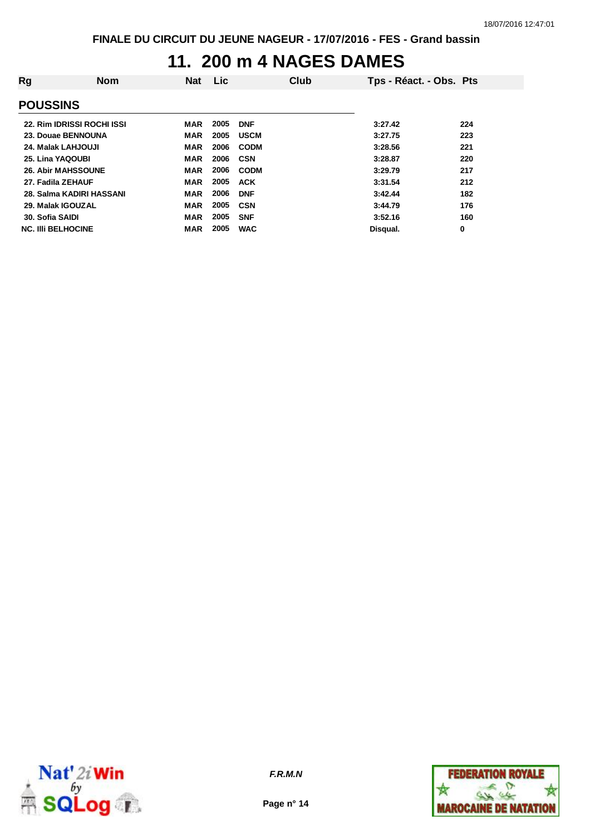#### **11. 200 m 4 NAGES DAMES**

| Rg                                | <b>Nom</b> | <b>Nat</b> | <b>Lic</b> |             | Club | Tps - Réact. - Obs. Pts |     |  |
|-----------------------------------|------------|------------|------------|-------------|------|-------------------------|-----|--|
| <b>POUSSINS</b>                   |            |            |            |             |      |                         |     |  |
| <b>22. Rim IDRISSI ROCHI ISSI</b> |            | MAR        | 2005       | <b>DNF</b>  |      | 3:27.42                 | 224 |  |
| 23. Douae BENNOUNA                |            | MAR        | 2005       | <b>USCM</b> |      | 3:27.75                 | 223 |  |
| 24. Malak LAHJOUJI                |            | <b>MAR</b> | 2006       | <b>CODM</b> |      | 3:28.56                 | 221 |  |
| 25. Lina YAQOUBI                  |            | <b>MAR</b> | 2006       | <b>CSN</b>  |      | 3:28.87                 | 220 |  |
| <b>26. Abir MAHSSOUNE</b>         |            | <b>MAR</b> | 2006       | <b>CODM</b> |      | 3:29.79                 | 217 |  |
| 27. Fadila ZEHAUF                 |            | <b>MAR</b> | 2005       | <b>ACK</b>  |      | 3:31.54                 | 212 |  |
| 28. Salma KADIRI HASSANI          |            | <b>MAR</b> | 2006       | <b>DNF</b>  |      | 3:42.44                 | 182 |  |
| 29. Malak IGOUZAL                 |            | <b>MAR</b> | 2005       | <b>CSN</b>  |      | 3:44.79                 | 176 |  |
| 30. Sofia SAIDI                   |            | <b>MAR</b> | 2005       | <b>SNF</b>  |      | 3:52.16                 | 160 |  |
| <b>NC. IIII BELHOCINE</b>         |            | <b>MAR</b> | 2005       | <b>WAC</b>  |      | Disqual.                | 0   |  |



*F.R.M.N*

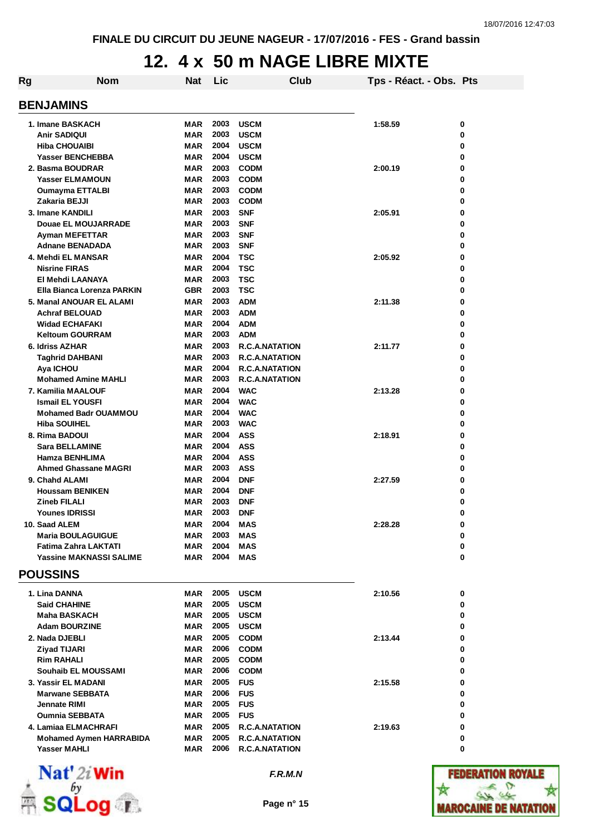# **12. 4 x 50 m NAGE LIBRE MIXTE**

| Rg | <b>Nom</b>                                                                                          | <b>Nat</b>                                           | Lic                          | Club                                                                           | Tps - Réact. - Obs. Pts |                    |  |  |  |
|----|-----------------------------------------------------------------------------------------------------|------------------------------------------------------|------------------------------|--------------------------------------------------------------------------------|-------------------------|--------------------|--|--|--|
|    | <b>BENJAMINS</b>                                                                                    |                                                      |                              |                                                                                |                         |                    |  |  |  |
|    | 1. Imane BASKACH<br><b>Anir SADIQUI</b><br><b>Hiba CHOUAIBI</b>                                     | <b>MAR</b><br><b>MAR</b><br><b>MAR</b>               | 2003<br>2003<br>2004         | <b>USCM</b><br><b>USCM</b><br><b>USCM</b>                                      | 1:58.59                 | 0<br>0<br>0        |  |  |  |
|    | <b>Yasser BENCHEBBA</b><br>2. Basma BOUDRAR<br><b>Yasser ELMAMOUN</b><br><b>Oumayma ETTALBI</b>     | <b>MAR</b><br><b>MAR</b><br><b>MAR</b><br>MAR        | 2004<br>2003<br>2003<br>2003 | <b>USCM</b><br><b>CODM</b><br><b>CODM</b><br><b>CODM</b>                       | 2:00.19                 | 0<br>0<br>0<br>0   |  |  |  |
|    | Zakaria BEJJI<br>3. Imane KANDILI<br>Douae EL MOUJARRADE<br><b>Ayman MEFETTAR</b>                   | <b>MAR</b><br><b>MAR</b><br><b>MAR</b><br><b>MAR</b> | 2003<br>2003<br>2003<br>2003 | <b>CODM</b><br><b>SNF</b><br><b>SNF</b><br><b>SNF</b>                          | 2:05.91                 | 0<br>0<br>0<br>0   |  |  |  |
|    | <b>Adnane BENADADA</b><br>4. Mehdi EL MANSAR<br><b>Nisrine FIRAS</b>                                | <b>MAR</b><br><b>MAR</b><br><b>MAR</b>               | 2003<br>2004<br>2004         | <b>SNF</b><br><b>TSC</b><br><b>TSC</b>                                         | 2:05.92                 | 0<br>0<br>0        |  |  |  |
|    | El Mehdi LAANAYA<br>Ella Bianca Lorenza PARKIN<br>5. Manal ANOUAR EL ALAMI<br><b>Achraf BELOUAD</b> | <b>MAR</b><br><b>GBR</b><br><b>MAR</b><br><b>MAR</b> | 2003<br>2003<br>2003<br>2003 | <b>TSC</b><br><b>TSC</b><br><b>ADM</b><br><b>ADM</b>                           | 2:11.38                 | 0<br>0<br>0<br>0   |  |  |  |
|    | <b>Widad ECHAFAKI</b><br><b>Keltoum GOURRAM</b><br>6. Idriss AZHAR                                  | <b>MAR</b><br><b>MAR</b><br><b>MAR</b>               | 2004<br>2003<br>2003         | <b>ADM</b><br><b>ADM</b><br><b>R.C.A.NATATION</b>                              | 2:11.77                 | 0<br>0<br>0        |  |  |  |
|    | <b>Taghrid DAHBANI</b><br>Aya ICHOU<br><b>Mohamed Amine MAHLI</b><br>7. Kamilia MAALOUF             | <b>MAR</b><br><b>MAR</b><br>MAR<br><b>MAR</b>        | 2003<br>2004<br>2003<br>2004 | R.C.A.NATATION<br><b>R.C.A.NATATION</b><br><b>R.C.A.NATATION</b><br><b>WAC</b> | 2:13.28                 | 0<br>0<br>0<br>0   |  |  |  |
|    | <b>Ismail EL YOUSFI</b><br><b>Mohamed Badr OUAMMOU</b><br><b>Hiba SOUIHEL</b>                       | <b>MAR</b><br><b>MAR</b><br><b>MAR</b>               | 2004<br>2004<br>2003         | <b>WAC</b><br><b>WAC</b><br><b>WAC</b>                                         |                         | 0<br>0<br>0        |  |  |  |
|    | 8. Rima BADOUI<br><b>Sara BELLAMINE</b><br>Hamza BENHLIMA<br><b>Ahmed Ghassane MAGRI</b>            | <b>MAR</b><br><b>MAR</b><br><b>MAR</b><br><b>MAR</b> | 2004<br>2004<br>2004<br>2003 | <b>ASS</b><br><b>ASS</b><br><b>ASS</b><br><b>ASS</b>                           | 2:18.91                 | 0<br>0<br>0<br>0   |  |  |  |
|    | 9. Chahd ALAMI<br><b>Houssam BENIKEN</b><br><b>Zineb FILALI</b><br><b>Younes IDRISSI</b>            | <b>MAR</b><br><b>MAR</b><br>MAR<br>MAR               | 2004<br>2004<br>2003<br>2003 | <b>DNF</b><br><b>DNF</b><br><b>DNF</b><br><b>DNF</b>                           | 2:27.59                 | 0<br>0<br>0<br>0   |  |  |  |
|    | 10. Saad ALEM<br><b>Maria BOULAGUIGUE</b><br><b>Fatima Zahra LAKTATI</b>                            | MAR<br><b>MAR</b><br><b>MAR</b>                      | 2004<br>2003<br>2004         | <b>MAS</b><br><b>MAS</b><br><b>MAS</b>                                         | 2:28.28                 | 0<br>0<br>0        |  |  |  |
|    | <b>Yassine MAKNASSI SALIME</b><br><b>POUSSINS</b>                                                   | <b>MAR</b>                                           | 2004                         | MAS                                                                            |                         | 0                  |  |  |  |
|    | 1. Lina DANNA<br><b>Said CHAHINE</b><br><b>Maha BASKACH</b><br><b>Adam BOURZINE</b>                 | <b>MAR</b><br><b>MAR</b><br><b>MAR</b><br><b>MAR</b> | 2005<br>2005<br>2005<br>2005 | <b>USCM</b><br><b>USCM</b><br><b>USCM</b><br><b>USCM</b>                       | 2:10.56                 | 0<br>0<br>0<br>0   |  |  |  |
|    | 2. Nada DJEBLI<br><b>Ziyad TIJARI</b><br><b>Rim RAHALI</b><br>Souhaib EL MOUSSAMI                   | <b>MAR</b><br><b>MAR</b><br>MAR<br><b>MAR</b>        | 2005<br>2006<br>2005<br>2006 | <b>CODM</b><br><b>CODM</b><br><b>CODM</b>                                      | 2:13.44                 | 0<br>0<br>0<br>0   |  |  |  |
|    | 3. Yassir EL MADANI<br><b>Marwane SEBBATA</b><br>Jennate RIMI<br><b>Oumnia SEBBATA</b>              | <b>MAR</b><br><b>MAR</b><br><b>MAR</b>               | 2005<br>2006<br>2005<br>2005 | <b>CODM</b><br><b>FUS</b><br><b>FUS</b><br><b>FUS</b><br><b>FUS</b>            | 2:15.58                 | 0<br>0<br>0<br>0   |  |  |  |
|    | 4. Lamiaa ELMACHRAFI<br><b>Mohamed Aymen HARRABIDA</b><br><b>Yasser MAHLI</b>                       | MAR<br><b>MAR</b><br>MAR<br>MAR                      | 2005<br>2005<br>2006         | <b>R.C.A.NATATION</b><br><b>R.C.A.NATATION</b><br><b>R.C.A.NATATION</b>        | 2:19.63                 | 0<br>0<br>0        |  |  |  |
|    | $N0$ +1 $\frac{1}{2}$ +4/                                                                           |                                                      |                              |                                                                                |                         | <b>PPRPRAPIALI</b> |  |  |  |



*F.R.M.N*